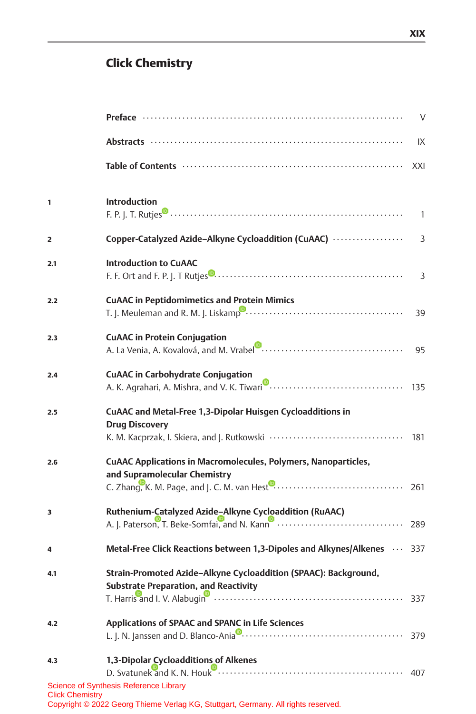## Click Chemistry

|                        |                                                                                                                             | $\vee$         |
|------------------------|-----------------------------------------------------------------------------------------------------------------------------|----------------|
|                        |                                                                                                                             | IX             |
|                        |                                                                                                                             | XXI            |
| 1                      | <b>Introduction</b>                                                                                                         | $\mathbf{1}$   |
| $\overline{2}$         | Copper-Catalyzed Azide-Alkyne Cycloaddition (CuAAC)                                                                         | 3              |
| 2.1                    | <b>Introduction to CuAAC</b>                                                                                                | $\overline{3}$ |
| 2.2                    | <b>CuAAC in Peptidomimetics and Protein Mimics</b>                                                                          | 39             |
| 2.3                    | <b>CuAAC in Protein Conjugation</b>                                                                                         | 95             |
| 2.4                    | <b>CuAAC in Carbohydrate Conjugation</b>                                                                                    |                |
| 2.5                    | CuAAC and Metal-Free 1,3-Dipolar Huisgen Cycloadditions in<br><b>Drug Discovery</b>                                         | 181            |
| 2.6                    | <b>CUAAC Applications in Macromolecules, Polymers, Nanoparticles,</b><br>and Supramolecular Chemistry                       |                |
| 3                      | Ruthenium-Catalyzed Azide-Alkyne Cycloaddition (RuAAC)                                                                      |                |
| 4                      | Metal-Free Click Reactions between 1,3-Dipoles and Alkynes/Alkenes $\cdots$ 337                                             |                |
| 4.1                    | Strain-Promoted Azide-Alkyne Cycloaddition (SPAAC): Background,<br><b>Substrate Preparation, and Reactivity</b>             |                |
| 4.2                    | Applications of SPAAC and SPANC in Life Sciences                                                                            |                |
| 4.3                    | 1,3-Dipolar Cycloadditions of Alkenes                                                                                       | 407            |
| <b>Click Chemistry</b> | Science of Synthesis Reference Library<br>Copyright © 2022 Georg Thieme Verlag KG, Stuttgart, Germany. All rights reserved. |                |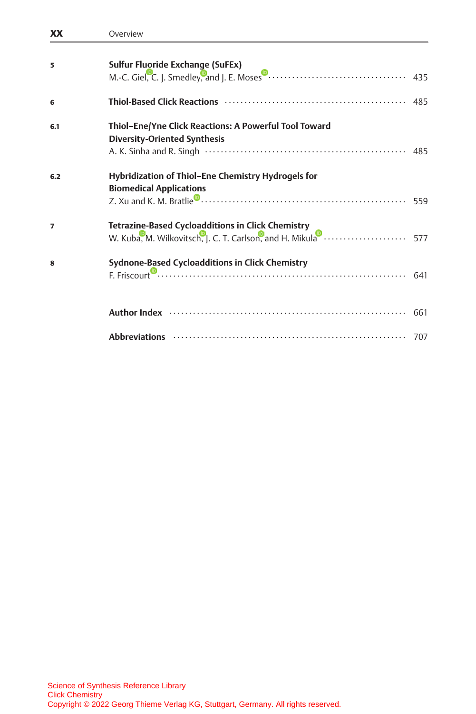| <b>XX</b>      | Overview                                                                                                                                                                                                                       |  |
|----------------|--------------------------------------------------------------------------------------------------------------------------------------------------------------------------------------------------------------------------------|--|
| 5              | Sulfur Fluoride Exchange (SuFEx)                                                                                                                                                                                               |  |
| 6              |                                                                                                                                                                                                                                |  |
| 6.1            | Thiol-Ene/Yne Click Reactions: A Powerful Tool Toward<br><b>Diversity-Oriented Synthesis</b>                                                                                                                                   |  |
| 6.2            | Hybridization of Thiol-Ene Chemistry Hydrogels for<br><b>Biomedical Applications</b>                                                                                                                                           |  |
| $\overline{ }$ | Tetrazine-Based Cycloadditions in Click Chemistry<br>W. Kuba, M. Wilkovitsch, J. C. T. Carlson, and H. Mikula <b>Communisties</b>                                                                                              |  |
| 8              | Sydnone-Based Cycloadditions in Click Chemistry                                                                                                                                                                                |  |
|                | Author Index (a) and the contract of the contract of the contract of the contract of the contract of the contract of the contract of the contract of the contract of the contract of the contract of the contract of the contr |  |
|                |                                                                                                                                                                                                                                |  |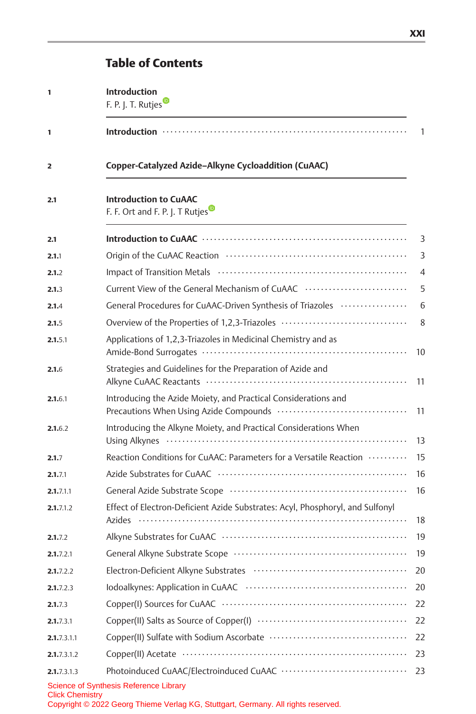# Table of Contents

| 1                      | <b>Introduction</b><br>F. P. J. T. Rutjes                                                                                   |                |
|------------------------|-----------------------------------------------------------------------------------------------------------------------------|----------------|
| $\mathbf{1}$           |                                                                                                                             | 1              |
| 2                      | Copper-Catalyzed Azide-Alkyne Cycloaddition (CuAAC)                                                                         |                |
| 2.1                    | <b>Introduction to CuAAC</b><br>F. F. Ort and F. P. J. T Rutjes                                                             |                |
| 2.1                    |                                                                                                                             | 3              |
| 2.1.1                  | Origin of the CuAAC Reaction (and the continuum control of the CuAAC Reaction (and the control of the CuAAC Reaction        | 3              |
| 2.1.2                  |                                                                                                                             | $\overline{4}$ |
| 2.1.3                  | Current View of the General Mechanism of CuAAC                                                                              | 5              |
| 2.1.4                  | General Procedures for CuAAC-Driven Synthesis of Triazoles                                                                  | 6              |
| 2.1.5                  | Overview of the Properties of 1,2,3-Triazoles                                                                               | 8              |
| 2.1.5.1                | Applications of 1,2,3-Triazoles in Medicinal Chemistry and as                                                               | 10             |
| 2.1.6                  | Strategies and Guidelines for the Preparation of Azide and                                                                  | 11             |
| 2.1.6.1                | Introducing the Azide Moiety, and Practical Considerations and                                                              | 11             |
| 2.1.6.2                | Introducing the Alkyne Moiety, and Practical Considerations When                                                            | 13             |
| 2.1.7                  | Reaction Conditions for CuAAC: Parameters for a Versatile Reaction                                                          | 15             |
| 2.1.7.1                |                                                                                                                             | 16             |
| 2.1.7.1.1              | General Azide Substrate Scope (1000) (2000) (2000) (2000) (2000) (2000) (2000) (2000) (2000) (2000) (2000) (20              | 16             |
| 2.1.7.1.2              | Effect of Electron-Deficient Azide Substrates: Acyl, Phosphoryl, and Sulfonyl                                               | 18             |
| 2.1.7.2                |                                                                                                                             | 19             |
| 2.1.7.2.1              |                                                                                                                             | 19             |
| 2.1.7.2.2              |                                                                                                                             | 20             |
| 2.1.7.2.3              |                                                                                                                             | 20             |
| 2.1.7.3                |                                                                                                                             | 22             |
| 2.1.7.3.1              |                                                                                                                             | 22             |
| 2.1.7.3.1.1            |                                                                                                                             | 22             |
| 2.1.7.3.1.2            |                                                                                                                             | 23             |
| 2.1.7.3.1.3            |                                                                                                                             | 23             |
| <b>Click Chemistry</b> | Science of Synthesis Reference Library<br>Copyright © 2022 Georg Thieme Verlag KG, Stuttgart, Germany. All rights reserved. |                |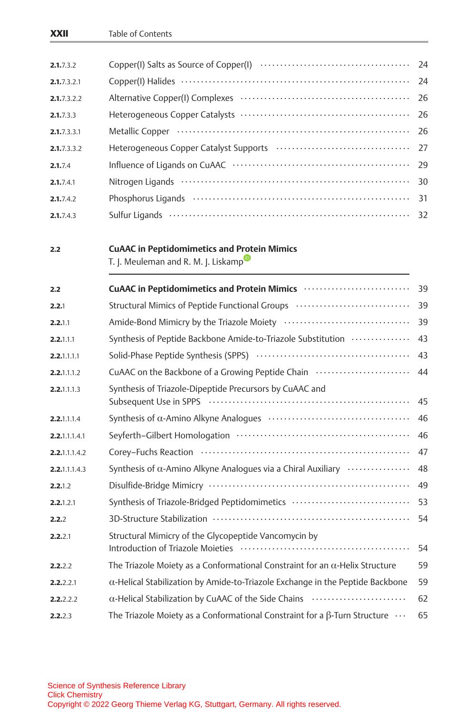| XXII          | Table of Contents                                                                                                                                                                                                              |    |
|---------------|--------------------------------------------------------------------------------------------------------------------------------------------------------------------------------------------------------------------------------|----|
|               |                                                                                                                                                                                                                                |    |
| 2.1.7.3.2     |                                                                                                                                                                                                                                | 24 |
| 2.1.7.3.2.1   |                                                                                                                                                                                                                                | 24 |
| 2.1.7.3.2.2   |                                                                                                                                                                                                                                | 26 |
| 2.1.7.3.3     |                                                                                                                                                                                                                                | 26 |
| 2.1.7.3.3.1   | Metallic Copper (and the context of the context of the context of the context of the context of the context of                                                                                                                 | 26 |
| 2.1.7.3.3.2   |                                                                                                                                                                                                                                | 27 |
| 2.1.7.4       |                                                                                                                                                                                                                                | 29 |
| 2.1.7.4.1     |                                                                                                                                                                                                                                | 30 |
| 2.1.7.4.2     | Phosphorus Ligands (and according to the state of the state of the state of the state of the state of the state of the state of the state of the state of the state of the state of the state of the state of the state of the | 31 |
| 2.1.7.4.3     |                                                                                                                                                                                                                                | 32 |
| 2.2           | <b>CuAAC in Peptidomimetics and Protein Mimics</b><br>T. J. Meuleman and R. M. J. Liskamp                                                                                                                                      |    |
| 2.2           |                                                                                                                                                                                                                                |    |
| 2.2.1         | Structural Mimics of Peptide Functional Groups (and content content content of                                                                                                                                                 | 39 |
| 2.2.1.1       |                                                                                                                                                                                                                                | 39 |
| 2.2.1.1.1     | Synthesis of Peptide Backbone Amide-to-Triazole Substitution                                                                                                                                                                   | 43 |
| 2.2.1.1.1.1   |                                                                                                                                                                                                                                | 43 |
| 2.2.1.1.1.2   | CuAAC on the Backbone of a Growing Peptide Chain                                                                                                                                                                               | 44 |
| 2.2.1.1.1.3   | Synthesis of Triazole-Dipeptide Precursors by CuAAC and                                                                                                                                                                        | 45 |
| 2.2.1.1.1.4   |                                                                                                                                                                                                                                | 46 |
| 2.2.1.1.1.4.1 |                                                                                                                                                                                                                                | 46 |
| 2.2.1.1.1.4.2 |                                                                                                                                                                                                                                | 47 |
| 2.2.1.1.1.4.3 | Synthesis of $\alpha$ -Amino Alkyne Analogues via a Chiral Auxiliary $\cdots$                                                                                                                                                  | 48 |
| 2.2.1.2       |                                                                                                                                                                                                                                | 49 |
| 2.2.1.2.1     | Synthesis of Triazole-Bridged Peptidomimetics                                                                                                                                                                                  | 53 |
| 2.2.2         |                                                                                                                                                                                                                                | 54 |
| 2.2.2.1       | Structural Mimicry of the Glycopeptide Vancomycin by                                                                                                                                                                           | 54 |
| 2.2.2.2       | The Triazole Moiety as a Conformational Constraint for an $\alpha$ -Helix Structure                                                                                                                                            | 59 |
| 2.2.2.2.1     | $\alpha$ -Helical Stabilization by Amide-to-Triazole Exchange in the Peptide Backbone                                                                                                                                          | 59 |
| 2.2.2.2.2     | α-Helical Stabilization by CuAAC of the Side Chains                                                                                                                                                                            | 62 |
| 2.2.2.3       | The Triazole Moiety as a Conformational Constraint for a $\beta$ -Turn Structure $\cdots$                                                                                                                                      | 65 |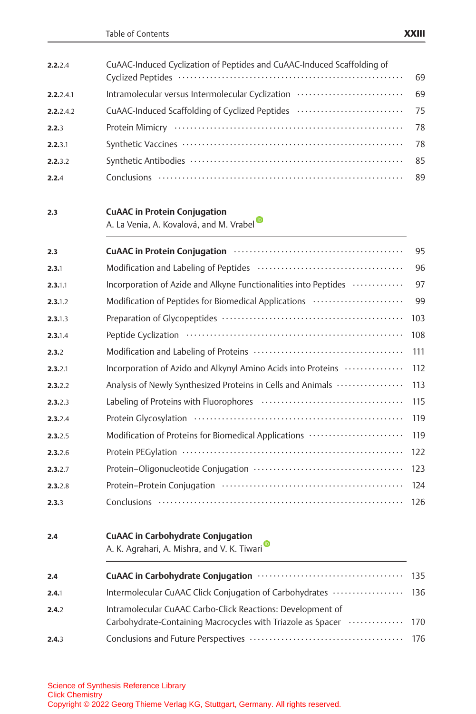| 2.2.2.4   | CuAAC-Induced Cyclization of Peptides and CuAAC-Induced Scaffolding of                                                    | 69  |
|-----------|---------------------------------------------------------------------------------------------------------------------------|-----|
| 2.2.2.4.1 | Intramolecular versus Intermolecular Cyclization                                                                          | 69  |
| 2.2.2.4.2 | CuAAC-Induced Scaffolding of Cyclized Peptides                                                                            | 75  |
| 2.2.3     |                                                                                                                           | 78  |
| 2.2.3.1   |                                                                                                                           | 78  |
| 2.2.3.2   |                                                                                                                           | 85  |
| 2.2.4     |                                                                                                                           | 89  |
| 2.3       | <b>CuAAC in Protein Conjugation</b><br>A. La Venia, A. Kovalová, and M. Vrabel                                            |     |
| 2.3       |                                                                                                                           | 95  |
| 2.3.1     |                                                                                                                           | 96  |
| 2.3.1.1   | Incorporation of Azide and Alkyne Functionalities into Peptides                                                           | 97  |
| 2.3.1.2   | Modification of Peptides for Biomedical Applications                                                                      | 99  |
| 2.3.1.3   |                                                                                                                           | 103 |
| 2.3.1.4   |                                                                                                                           | 108 |
| 2.3.2     |                                                                                                                           | 111 |
| 2.3.2.1   | Incorporation of Azido and Alkynyl Amino Acids into Proteins                                                              | 112 |
| 2.3.2.2   | Analysis of Newly Synthesized Proteins in Cells and Animals                                                               | 113 |
| 2.3.2.3   |                                                                                                                           | 115 |
| 2.3.2.4   |                                                                                                                           | 119 |
| 2.3.2.5   | Modification of Proteins for Biomedical Applications                                                                      | 119 |
| 2.3.2.6   |                                                                                                                           | 122 |
| 2.3.2.7   |                                                                                                                           | 123 |
| 2.3.2.8   |                                                                                                                           | 124 |
| 2.3.3     |                                                                                                                           | 126 |
| 2.4       | <b>CuAAC in Carbohydrate Conjugation</b><br>A. K. Agrahari, A. Mishra, and V. K. Tiwari                                   |     |
| 2.4       |                                                                                                                           | 135 |
| 2.4.1     | Intermolecular CuAAC Click Conjugation of Carbohydrates                                                                   | 136 |
| 2.4.2     | Intramolecular CuAAC Carbo-Click Reactions: Development of<br>Carbohydrate-Containing Macrocycles with Triazole as Spacer | 170 |
| 2.4.3     |                                                                                                                           | 176 |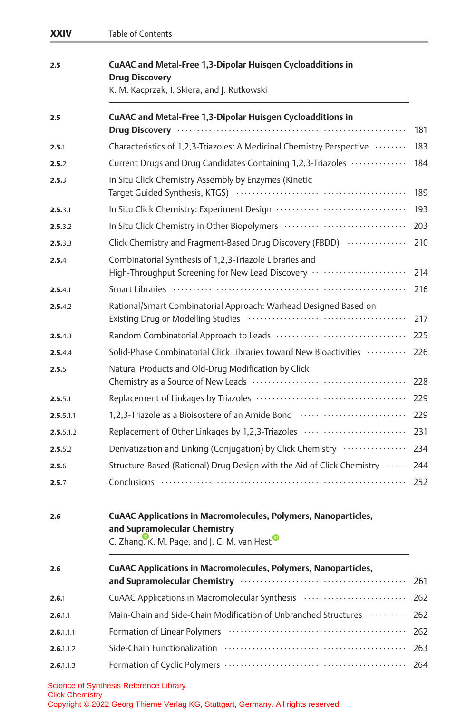| XXIV      | Table of Contents                                                                                                                                                                                                              |     |
|-----------|--------------------------------------------------------------------------------------------------------------------------------------------------------------------------------------------------------------------------------|-----|
| 2.5       | CuAAC and Metal-Free 1,3-Dipolar Huisgen Cycloadditions in<br><b>Drug Discovery</b><br>K. M. Kacprzak, I. Skiera, and J. Rutkowski                                                                                             |     |
| 2.5       | CuAAC and Metal-Free 1,3-Dipolar Huisgen Cycloadditions in                                                                                                                                                                     | 181 |
| 2.5.1     | Characteristics of 1,2,3-Triazoles: A Medicinal Chemistry Perspective                                                                                                                                                          | 183 |
| 2.5.2     | Current Drugs and Drug Candidates Containing 1,2,3-Triazoles                                                                                                                                                                   | 184 |
| 2.5.3     | In Situ Click Chemistry Assembly by Enzymes (Kinetic                                                                                                                                                                           | 189 |
| 2.5.3.1   |                                                                                                                                                                                                                                | 193 |
| 2.5.3.2   | In Situ Click Chemistry in Other Biopolymers                                                                                                                                                                                   | 203 |
| 2.5.3.3   | Click Chemistry and Fragment-Based Drug Discovery (FBDD)                                                                                                                                                                       | 210 |
| 2.5.4     | Combinatorial Synthesis of 1,2,3-Triazole Libraries and<br>High-Throughput Screening for New Lead Discovery                                                                                                                    | 214 |
| 2.5.4.1   | Smart Libraries (and the content of the content of the state of the state of the Smart Libraries (and the state of the state of the state of the state of the state of the state of the state of the state of the state of the | 216 |
| 2.5.4.2   | Rational/Smart Combinatorial Approach: Warhead Designed Based on                                                                                                                                                               | 217 |
| 2.5.4.3   |                                                                                                                                                                                                                                | 225 |
| 2.5.4.4   | Solid-Phase Combinatorial Click Libraries toward New Bioactivities                                                                                                                                                             | 226 |
| 2.5.5     | Natural Products and Old-Drug Modification by Click                                                                                                                                                                            | 228 |
| 2.5.5.1   |                                                                                                                                                                                                                                | 229 |
| 2.5.5.1.1 | 1,2,3-Triazole as a Bioisostere of an Amide Bond                                                                                                                                                                               | 229 |
| 2.5.5.1.2 | Replacement of Other Linkages by 1,2,3-Triazoles                                                                                                                                                                               | 231 |
| 2.5.5.2   | Derivatization and Linking (Conjugation) by Click Chemistry                                                                                                                                                                    | 234 |
| 2.5.6     | Structure-Based (Rational) Drug Design with the Aid of Click Chemistry                                                                                                                                                         | 244 |
| 2.5.7     |                                                                                                                                                                                                                                | 252 |
| 2.6       | <b>CUAAC Applications in Macromolecules, Polymers, Nanoparticles,</b><br>and Supramolecular Chemistry<br>C. Zhang, K. M. Page, and J. C. M. van Hest                                                                           |     |
| 2.6       | <b>CUAAC Applications in Macromolecules, Polymers, Nanoparticles,</b>                                                                                                                                                          | 261 |
| 2.6.1     | CuAAC Applications in Macromolecular Synthesis                                                                                                                                                                                 | 262 |
| 2.6.1.1   | Main-Chain and Side-Chain Modification of Unbranched Structures                                                                                                                                                                | 262 |
| 2.6.1.1.1 |                                                                                                                                                                                                                                | 262 |
| 2.6.1.1.2 |                                                                                                                                                                                                                                | 263 |
| 2.6.1.1.3 |                                                                                                                                                                                                                                | 264 |
|           | Science of Synthesis Reference Library                                                                                                                                                                                         |     |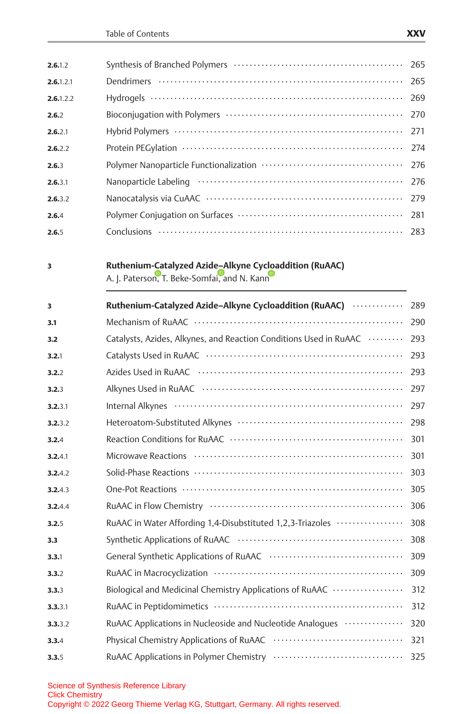| 2.6.1.2   |                                      |  |
|-----------|--------------------------------------|--|
| 2.6.1.2.1 |                                      |  |
| 2.6.1.2.2 |                                      |  |
| 2.6.2     |                                      |  |
| 2.6.2.1   |                                      |  |
| 2.6.2.2   |                                      |  |
| 2.6.3     |                                      |  |
| 2.6.3.1   |                                      |  |
| 2.6.3.2   |                                      |  |
| 2.6.4     |                                      |  |
| 2.6.5     | Conclusions …………………………………………………… 283 |  |

### 3 Ruthenium-Catalyzed Azid[e–A](http://orcid.org/0000-0002-4788-3758)lkyne Cy[cloa](http://orcid.org/0000-0002-4457-5282)ddition (RuAAC)

A. J. Paterso[n,](http://orcid.org/0000-0001-7169-2524) [T](http://orcid.org/0000-0001-7169-2524). Beke-Somfai, and N. Kann

| 3       | Ruthenium-Catalyzed Azide-Alkyne Cycloaddition (RuAAC)            | 289 |
|---------|-------------------------------------------------------------------|-----|
| 3.1     |                                                                   | 290 |
| 3.2     | Catalysts, Azides, Alkynes, and Reaction Conditions Used in RuAAC | 293 |
| 3.2.1   |                                                                   | 293 |
| 3.2.2   |                                                                   | 293 |
| 3.2.3   |                                                                   | 297 |
| 3.2.3.1 |                                                                   | 297 |
| 3.2.3.2 |                                                                   | 298 |
| 3.2.4   |                                                                   | 301 |
| 3.2.4.1 |                                                                   | 301 |
| 3.2.4.2 |                                                                   | 303 |
| 3.2.4.3 |                                                                   | 305 |
| 3.2.4.4 |                                                                   | 306 |
| 3.2.5   | RuAAC in Water Affording 1,4-Disubstituted 1,2,3-Triazoles        | 308 |
| 3.3     |                                                                   | 308 |
| 3.3.1   |                                                                   | 309 |
| 3.3.2   |                                                                   | 309 |
| 3.3.3   | Biological and Medicinal Chemistry Applications of RuAAC          | 312 |
| 3.3.3.1 |                                                                   | 312 |
| 3.3.3.2 | RuAAC Applications in Nucleoside and Nucleotide Analogues         | 320 |
| 3.3.4   |                                                                   | 321 |
| 3.3.5   |                                                                   | 325 |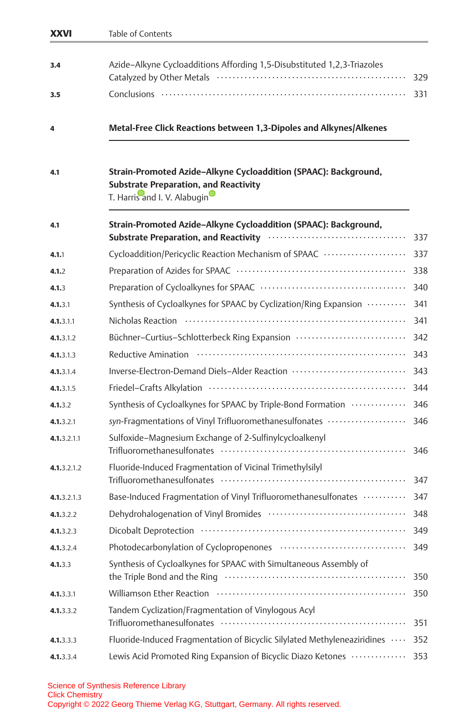| <b>XXVI</b> | Table of Contents                                                                                                                               |     |
|-------------|-------------------------------------------------------------------------------------------------------------------------------------------------|-----|
| 3.4         | Azide-Alkyne Cycloadditions Affording 1,5-Disubstituted 1,2,3-Triazoles                                                                         | 329 |
| 3.5         |                                                                                                                                                 | 331 |
| 4           | Metal-Free Click Reactions between 1,3-Dipoles and Alkynes/Alkenes                                                                              |     |
| 4.1         | Strain-Promoted Azide-Alkyne Cycloaddition (SPAAC): Background,<br><b>Substrate Preparation, and Reactivity</b><br>T. Harris and I. V. Alabugin |     |
| 4.1         | Strain-Promoted Azide-Alkyne Cycloaddition (SPAAC): Background,                                                                                 | 337 |
| 4.1.1       | Cycloaddition/Pericyclic Reaction Mechanism of SPAAC                                                                                            | 337 |
| 4.1.2       |                                                                                                                                                 | 338 |
| 4.1.3       |                                                                                                                                                 | 340 |
| 4.1.3.1     | Synthesis of Cycloalkynes for SPAAC by Cyclization/Ring Expansion                                                                               | 341 |
| 4.1.3.1.1   | Nicholas Reaction (and the content of the Read of the Nicholas Reaction (and the set of the Nicholas Reaction                                   | 341 |
| 4.1.3.1.2   | Büchner-Curtius-Schlotterbeck Ring Expansion                                                                                                    | 342 |
| 4.1.3.1.3   |                                                                                                                                                 | 343 |
| 4.1.3.1.4   | Inverse-Electron-Demand Diels-Alder Reaction                                                                                                    | 343 |
| 4.1.3.1.5   | Friedel-Crafts Alkylation (11) (1) and the Crafts Alkylation (1) (1) and the control of the Crafts Alkylation                                   | 344 |
| 4.1.3.2     | Synthesis of Cycloalkynes for SPAAC by Triple-Bond Formation                                                                                    | 346 |
| 4.1.3.2.1   | syn-Fragmentations of Vinyl Trifluoromethanesulfonates                                                                                          | 346 |
| 4.1.3.2.1.1 | Sulfoxide-Magnesium Exchange of 2-Sulfinylcycloalkenyl                                                                                          | 346 |
| 4.1.3.2.1.2 | Fluoride-Induced Fragmentation of Vicinal Trimethylsilyl                                                                                        | 347 |
| 4.1.3.2.1.3 | Base-Induced Fragmentation of Vinyl Trifluoromethanesulfonates                                                                                  | 347 |
| 4.1.3.2.2   |                                                                                                                                                 | 348 |
| 4.1.3.2.3   |                                                                                                                                                 | 349 |
| 4.1.3.2.4   |                                                                                                                                                 | 349 |
| 4.1.3.3     | Synthesis of Cycloalkynes for SPAAC with Simultaneous Assembly of                                                                               | 350 |
| 4.1.3.3.1   |                                                                                                                                                 | 350 |
| 4.1.3.3.2   | Tandem Cyclization/Fragmentation of Vinylogous Acyl                                                                                             | 351 |
| 4.1.3.3.3   | Fluoride-Induced Fragmentation of Bicyclic Silylated Methyleneaziridines                                                                        | 352 |
| 4.1.3.3.4   | Lewis Acid Promoted Ring Expansion of Bicyclic Diazo Ketones                                                                                    | 353 |
|             |                                                                                                                                                 |     |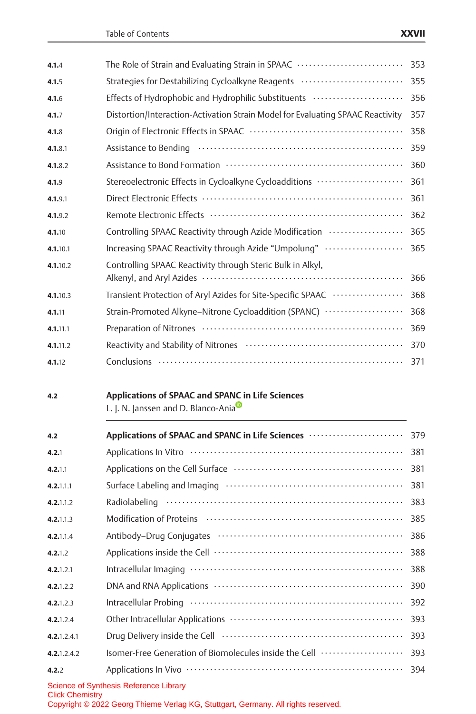| 4.1.4       | The Role of Strain and Evaluating Strain in SPAAC                                       | 353 |
|-------------|-----------------------------------------------------------------------------------------|-----|
| 4.1.5       | Strategies for Destabilizing Cycloalkyne Reagents                                       | 355 |
| 4.1.6       | Effects of Hydrophobic and Hydrophilic Substituents                                     | 356 |
| 4.1.7       | Distortion/Interaction-Activation Strain Model for Evaluating SPAAC Reactivity          | 357 |
| 4.1.8       |                                                                                         | 358 |
| 4.1.8.1     |                                                                                         | 359 |
| 4.1.8.2     |                                                                                         | 360 |
| 4.1.9       | Stereoelectronic Effects in Cycloalkyne Cycloadditions                                  | 361 |
| 4.1.9.1     |                                                                                         | 361 |
| 4.1.9.2     |                                                                                         | 362 |
| 4.1.10      | Controlling SPAAC Reactivity through Azide Modification                                 | 365 |
| 4.1.10.1    | Increasing SPAAC Reactivity through Azide "Umpolung"                                    | 365 |
| 4.1.10.2    | Controlling SPAAC Reactivity through Steric Bulk in Alkyl,                              | 366 |
| 4.1.10.3    | Transient Protection of Aryl Azides for Site-Specific SPAAC                             | 368 |
| 4.1.11      | Strain-Promoted Alkyne-Nitrone Cycloaddition (SPANC)                                    | 368 |
| 4.1.11.1    |                                                                                         | 369 |
| 4.1.11.2    |                                                                                         | 370 |
| 4.1.12      |                                                                                         | 371 |
| 4.2         | Applications of SPAAC and SPANC in Life Sciences<br>L. J. N. Janssen and D. Blanco-Ania |     |
| 4.2         | Applications of SPAAC and SPANC in Life Sciences                                        | 379 |
| 4.2.1       |                                                                                         | 381 |
| 4.2.1.1     |                                                                                         | 381 |
| 4.2.1.1.1   |                                                                                         | 381 |
| 4.2.1.1.2   |                                                                                         | 383 |
| 4.2.1.1.3   |                                                                                         | 385 |
| 4.2.1.1.4   |                                                                                         | 386 |
| 4.2.1.2     |                                                                                         | 388 |
| 4.2.1.2.1   |                                                                                         | 388 |
| 4.2.1.2.2   |                                                                                         | 390 |
| 4.2.1.2.3   |                                                                                         | 392 |
| 4.2.1.2.4   |                                                                                         | 393 |
| 4.2.1.2.4.1 |                                                                                         | 393 |
|             |                                                                                         |     |

Science of Synthesis Reference Library

Copyright © 2022 Georg Thieme Verlag KG, Stuttgart, Germany. All rights reserved.

4.2.<sup>2</sup> Applications In Vivo ....................................................... 394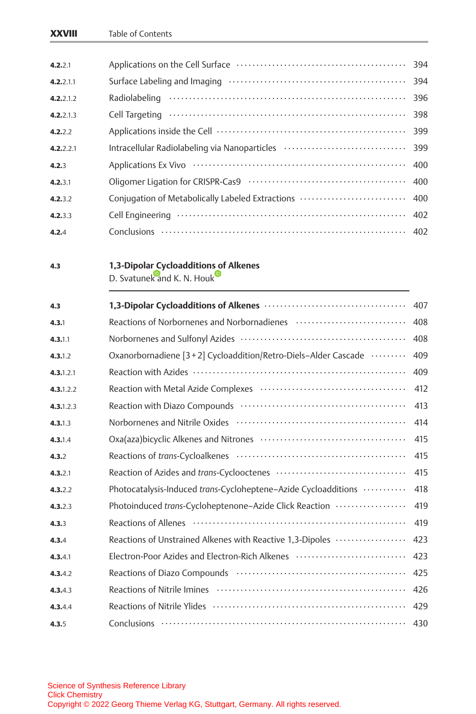| XXVIII | Table of Contents |
|--------|-------------------|
|--------|-------------------|

| 4.2.2.1   |                                               |     |
|-----------|-----------------------------------------------|-----|
| 4.2.2.1.1 |                                               | 394 |
| 4.2.2.1.2 |                                               | 396 |
| 4.2.2.1.3 |                                               | 398 |
| 4.2.2.2   |                                               | 399 |
| 4.2.2.2.1 | Intracellular Radiolabeling via Nanoparticles | 399 |
| 4.2.3     |                                               | 400 |
| 4.2.3.1   |                                               | 400 |
| 4.2.3.2   |                                               |     |
| 4.2.3.3   |                                               | 402 |
| 4.2.4     |                                               |     |
|           |                                               |     |
| 4.3       | 1,3-Dipolar Cycloadditions of Alkenes         |     |

D. Svatune[k](http://orcid.org/0000-0003-1101-2376) [an](http://orcid.org/0000-0003-1101-2376)d K. N. Houk

| 4.3       |                                                                  | 407 |
|-----------|------------------------------------------------------------------|-----|
| 4.3.1     | Reactions of Norbornenes and Norbornadienes                      | 408 |
| 4.3.1.1   |                                                                  | 408 |
| 4.3.1.2   | Oxanorbornadiene [3 + 2] Cycloaddition/Retro-Diels-Alder Cascade | 409 |
| 4.3.1.2.1 |                                                                  | 409 |
| 4.3.1.2.2 |                                                                  | 412 |
| 4.3.1.2.3 |                                                                  | 413 |
| 4.3.1.3   |                                                                  | 414 |
| 4.3.1.4   |                                                                  | 415 |
| 4.3.2     |                                                                  | 415 |
| 4.3.2.1   |                                                                  | 415 |
| 4.3.2.2   | Photocatalysis-Induced trans-Cycloheptene-Azide Cycloadditions   | 418 |
| 4.3.2.3   | Photoinduced trans-Cycloheptenone-Azide Click Reaction           | 419 |
| 4.3.3     |                                                                  | 419 |
| 4.3.4     | Reactions of Unstrained Alkenes with Reactive 1,3-Dipoles        | 423 |
| 4.3.4.1   | Electron-Poor Azides and Electron-Rich Alkenes                   | 423 |
| 4.3.4.2   |                                                                  | 425 |
| 4.3.4.3   |                                                                  | 426 |
| 4.3.4.4   |                                                                  | 429 |
| 4.3.5     |                                                                  | 430 |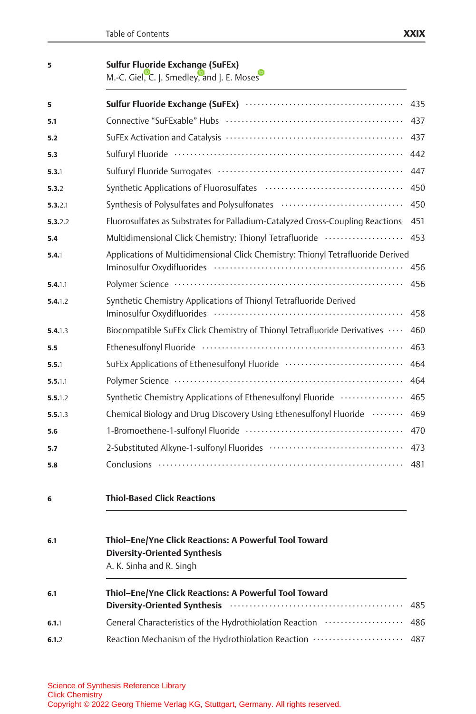|  |  | ļ |
|--|--|---|
|  |  |   |

### 5 Sulfur Fluoride Exchange (SuFEx)

M.-C. Gie[l,](http://orcid.org/0000-0001-5971-0072) [C](http://orcid.org/0000-0001-5971-0072). J. Smedle[y,](http://orcid.org/0000-0001-5110-2574) [a](http://orcid.org/0000-0001-5110-2574)nd J. E. Mo[s](http://orcid.org/0000-0003-2162-3234)es

| 5       |                                                                                                                | 435 |
|---------|----------------------------------------------------------------------------------------------------------------|-----|
| 5.1     |                                                                                                                | 437 |
| 5.2     |                                                                                                                | 437 |
| 5.3     |                                                                                                                | 442 |
| 5.3.1   |                                                                                                                | 447 |
| 5.3.2   |                                                                                                                | 450 |
| 5.3.2.1 | Synthesis of Polysulfates and Polysulfonates                                                                   | 450 |
| 5.3.2.2 | Fluorosulfates as Substrates for Palladium-Catalyzed Cross-Coupling Reactions                                  | 451 |
| 5.4     | Multidimensional Click Chemistry: Thionyl Tetrafluoride                                                        | 453 |
| 5.4.1   | Applications of Multidimensional Click Chemistry: Thionyl Tetrafluoride Derived                                | 456 |
| 5.4.1.1 |                                                                                                                | 456 |
| 5.4.1.2 | Synthetic Chemistry Applications of Thionyl Tetrafluoride Derived                                              | 458 |
| 5.4.1.3 | Biocompatible SuFEx Click Chemistry of Thionyl Tetrafluoride Derivatives                                       | 460 |
| 5.5     | Ethenesulfonyl Fluoride (and the content of the content of the content of the content of the content of the co | 463 |
| 5.5.1   | SuFEx Applications of Ethenesulfonyl Fluoride                                                                  | 464 |
| 5.5.1.1 |                                                                                                                | 464 |
| 5.5.1.2 | Synthetic Chemistry Applications of Ethenesulfonyl Fluoride                                                    | 465 |
| 5.5.1.3 | Chemical Biology and Drug Discovery Using Ethenesulfonyl Fluoride                                              | 469 |
| 5.6     |                                                                                                                | 470 |
| 5.7     |                                                                                                                | 473 |
| 5.8     |                                                                                                                | 481 |
| 6       | <b>Thiol-Based Click Reactions</b>                                                                             |     |
| 6.1     | Thiol-Ene/Yne Click Reactions: A Powerful Tool Toward                                                          |     |

| Thioi–Ene/Yne Click Reactions: A Powerful Tool Toward |
|-------------------------------------------------------|
| <b>Diversity-Oriented Synthesis</b>                   |
| A. K. Sinha and R. Singh                              |

| 6.1   | Thiol-Ene/Yne Click Reactions: A Powerful Tool Toward                                                                                                                                                                         |  |  |
|-------|-------------------------------------------------------------------------------------------------------------------------------------------------------------------------------------------------------------------------------|--|--|
|       | Diversity-Oriented Synthesis (and the context of the state of the state of the state of the state of the state of the state of the state of the state of the state of the state of the state of the state of the state of the |  |  |
| 6.1.1 |                                                                                                                                                                                                                               |  |  |
| 6.1.2 |                                                                                                                                                                                                                               |  |  |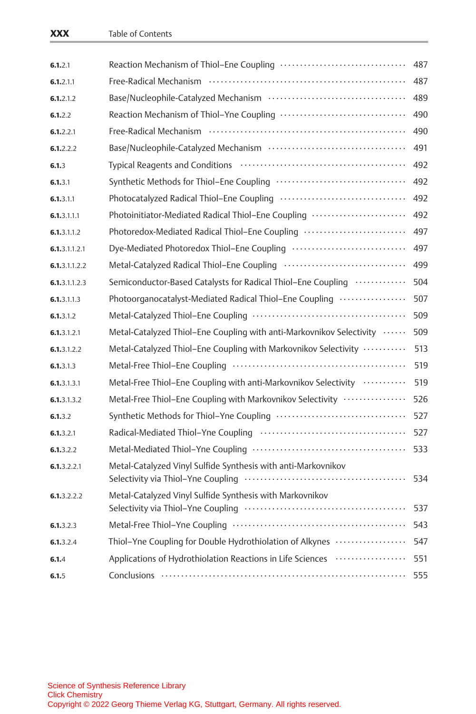| 6.1.2.1       |                                                                      | 487 |
|---------------|----------------------------------------------------------------------|-----|
| 6.1.2.1.1     |                                                                      | 487 |
| 6.1.2.1.2     |                                                                      | 489 |
| 6.1.2.2       | Reaction Mechanism of Thiol-Yne Coupling                             | 490 |
| 6.1.2.2.1     |                                                                      | 490 |
| 6.1.2.2.2     |                                                                      | 491 |
| 6.1.3         |                                                                      | 492 |
| 6.1.3.1       | Synthetic Methods for Thiol-Ene Coupling                             | 492 |
| 6.1.3.1.1     |                                                                      | 492 |
| 6.1.3.1.1.1   | Photoinitiator-Mediated Radical Thiol-Ene Coupling                   | 492 |
| 6.1.3.1.1.2   | Photoredox-Mediated Radical Thiol-Ene Coupling                       | 497 |
| 6.1.3.1.1.2.1 | Dye-Mediated Photoredox Thiol-Ene Coupling                           | 497 |
| 6.1.3.1.1.2.2 |                                                                      | 499 |
| 6.1.3.1.1.2.3 | Semiconductor-Based Catalysts for Radical Thiol-Ene Coupling         | 504 |
| 6.1.3.1.1.3   | Photoorganocatalyst-Mediated Radical Thiol-Ene Coupling              | 507 |
| 6.1.3.1.2     |                                                                      | 509 |
| 6.1.3.1.2.1   | Metal-Catalyzed Thiol-Ene Coupling with anti-Markovnikov Selectivity | 509 |
| 6.1.3.1.2.2   | Metal-Catalyzed Thiol-Ene Coupling with Markovnikov Selectivity      | 513 |
| 6.1.3.1.3     |                                                                      | 519 |
| 6.1.3.1.3.1   | Metal-Free Thiol-Ene Coupling with anti-Markovnikov Selectivity      | 519 |
| 6.1.3.1.3.2   | Metal-Free Thiol-Ene Coupling with Markovnikov Selectivity           | 526 |
| 6.1.3.2       |                                                                      | 527 |
| 6.1.3.2.1     |                                                                      | 527 |
| 6.1.3.2.2     |                                                                      | 533 |
| 6.1.3.2.2.1   | Metal-Catalyzed Vinyl Sulfide Synthesis with anti-Markovnikov        | 534 |
| 6.1.3.2.2.2   | Metal-Catalyzed Vinyl Sulfide Synthesis with Markovnikov             | 537 |
| 6.1.3.2.3     |                                                                      | 543 |
| 6.1.3.2.4     | Thiol-Yne Coupling for Double Hydrothiolation of Alkynes             | 547 |
| 6.1.4         | Applications of Hydrothiolation Reactions in Life Sciences           | 551 |
| 6.1.5         |                                                                      | 555 |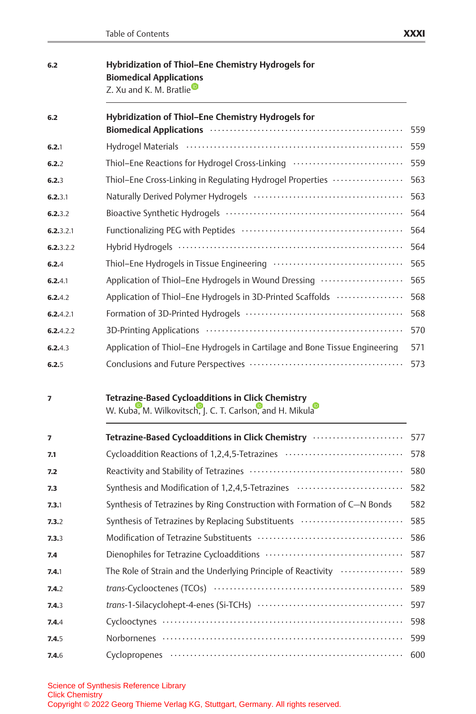| 6.2 | Hybridization of Thiol-Ene Chemistry Hydrogels for |
|-----|----------------------------------------------------|
|     | <b>Biomedical Applications</b>                     |
|     | Z. Xu and K. M. Bratlie                            |

| 6.2       | Hybridization of Thiol-Ene Chemistry Hydrogels for<br>Biomedical Applications (and according to the Application of Applications (and Applications of Applications and Applications of Applications (and Applications of Applications and Applications of Applications and Applicatio | 559 |
|-----------|--------------------------------------------------------------------------------------------------------------------------------------------------------------------------------------------------------------------------------------------------------------------------------------|-----|
| 6.2.1     |                                                                                                                                                                                                                                                                                      | 559 |
| 6.2.2     | Thiol-Ene Reactions for Hydrogel Cross-Linking                                                                                                                                                                                                                                       | 559 |
| 6.2.3     | Thiol-Ene Cross-Linking in Regulating Hydrogel Properties                                                                                                                                                                                                                            | 563 |
| 6.2.3.1   |                                                                                                                                                                                                                                                                                      | 563 |
| 6.2.3.2   |                                                                                                                                                                                                                                                                                      | 564 |
| 6.2.3.2.1 |                                                                                                                                                                                                                                                                                      | 564 |
| 6.2.3.2.2 |                                                                                                                                                                                                                                                                                      | 564 |
| 6.2.4     |                                                                                                                                                                                                                                                                                      | 565 |
| 6.2.4.1   | Application of Thiol-Ene Hydrogels in Wound Dressing                                                                                                                                                                                                                                 | 565 |
| 6.2.4.2   | Application of Thiol-Ene Hydrogels in 3D-Printed Scaffolds                                                                                                                                                                                                                           | 568 |
| 6.2.4.2.1 |                                                                                                                                                                                                                                                                                      | 568 |
| 6.2.4.2.2 |                                                                                                                                                                                                                                                                                      | 570 |
| 6,2,4,3   | Application of Thiol–Ene Hydrogels in Cartilage and Bone Tissue Engineering                                                                                                                                                                                                          | 571 |
| 6.2.5     |                                                                                                                                                                                                                                                                                      | 573 |

#### 7 Tetrazine-Based Cycloadditions in Click Chemistry

W. Kub[a,](http://orcid.org/0000-0003-4799-7242) [M](http://orcid.org/0000-0003-4799-7242). Wilkovitsc[h,](http://orcid.org/0000-0002-6809-6972) [J](http://orcid.org/0000-0002-6809-6972). C. T. Carlso[n,](http://orcid.org/0000-0003-4139-9057) [a](http://orcid.org/0000-0003-4139-9057)nd H. Mikul[a](http://orcid.org/0000-0002-9218-9722)

| $\overline{ }$ | Tetrazine-Based Cycloadditions in Click Chemistry                        | 577 |
|----------------|--------------------------------------------------------------------------|-----|
| 7.1            | Cycloaddition Reactions of 1,2,4,5-Tetrazines                            | 578 |
| 7.2            |                                                                          | 580 |
| 7.3            | Synthesis and Modification of 1,2,4,5-Tetrazines                         | 582 |
| 7.3.1          | Synthesis of Tetrazines by Ring Construction with Formation of C-N Bonds | 582 |
| 7.3.2          | Synthesis of Tetrazines by Replacing Substituents                        | 585 |
| 7.3.3          |                                                                          | 586 |
| 7.4            |                                                                          | 587 |
| 7.4.1          | The Role of Strain and the Underlying Principle of Reactivity            | 589 |
| 7.4.2          |                                                                          | 589 |
| 7.4.3          |                                                                          | 597 |
| 7.4.4          |                                                                          | 598 |
| 7.4.5          |                                                                          | 599 |
| 7.4.6          |                                                                          |     |